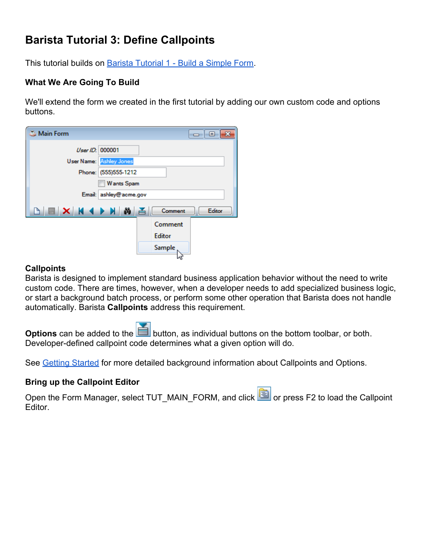# **Barista Tutorial 3: Define Callpoints**

This tutorial builds on [Barista Tutorial 1 - Build a Simple Form](http://documentation.basis.com/BaristaDIP/Barista%20Tutorial%201%20-%20Build%20a%20Simple%20Form.pdf).

# **What We Are Going To Build**

We'll extend the form we created in the first tutorial by adding our own custom code and options buttons.

| Main Form       |                                |               | $\overline{\phantom{a}}$ $\overline{\phantom{a}}$<br>x |
|-----------------|--------------------------------|---------------|--------------------------------------------------------|
| User ID: 000001 | <b>User Name:</b> Ashley Jones |               |                                                        |
|                 | Phone: (555)555-1212           |               |                                                        |
|                 | <b>Wants Spam</b>              |               |                                                        |
|                 | Email: ashley@acme.gov         |               |                                                        |
| NNXXXXXX        |                                | Comment       | Editor                                                 |
|                 |                                | Comment       |                                                        |
|                 |                                | <b>Editor</b> |                                                        |
|                 |                                | Sample        |                                                        |

### **Callpoints**

Barista is designed to implement standard business application behavior without the need to write custom code. There are times, however, when a developer needs to add specialized business logic, or start a background batch process, or perform some other operation that Barista does not handle automatically. Barista **Callpoints** address this requirement.

**Options** can be added to the **button**, as individual buttons on the bottom toolbar, or both. Developer-defined callpoint code determines what a given option will do.

See [Getting Started](http://documentation.basis.com/BaristaDIP/Barista%20Getting%20Started.pdf) for more detailed background information about Callpoints and Options.

### **Bring up the Callpoint Editor**

Open the Form Manager, select TUT\_MAIN\_FORM, and click **in the part of the Sellpoint** Editor.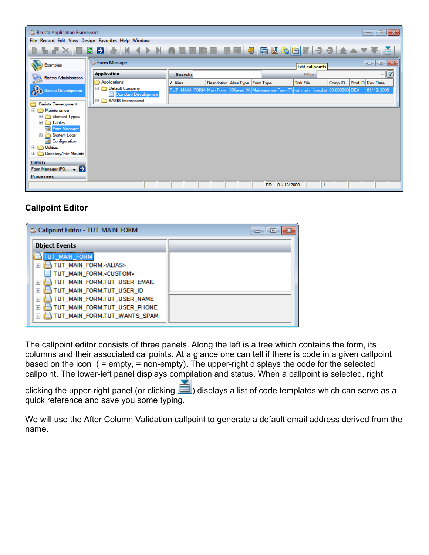

# **Callpoint Editor**

| Callpoint Editor - TUT_MAIN_FORM                                                                                                                                                                                                                                                                                                                                                        |  |
|-----------------------------------------------------------------------------------------------------------------------------------------------------------------------------------------------------------------------------------------------------------------------------------------------------------------------------------------------------------------------------------------|--|
| <b>Object Events</b>                                                                                                                                                                                                                                                                                                                                                                    |  |
| UT MAIN FORM<br>TUT_MAIN_FORM. <alias><br/>田<br/>TUT_MAIN_FORM.<custom><br/>TUT_MAIN_FORM.TUT_USER_EMAIL<br/><math>\overline{+}</math><br/>TUT_MAIN_FORM.TUT_USER_ID<br/>Ŧ<br/>TUT_MAIN_FORM.TUT_USER_NAME<br/><math>\overline{+}</math><br/>TUT_MAIN_FORM.TUT_USER_PHONE<br/><math>\overline{+}</math><br/>TUT_MAIN_FORM.TUT_WANTS_SPAM<br/><math>\overline{+}</math></custom></alias> |  |

The callpoint editor consists of three panels. Along the left is a tree which contains the form, its columns and their associated callpoints. At a glance one can tell if there is code in a given callpoint based on the icon ( = empty, = non-empty). The upper-right displays the code for the selected callpoint. The lower-left panel displays compilation and status. When a callpoint is selected, right

clicking the upper-right panel (or clicking  $\Box$ ) displays a list of code templates which can serve as a quick reference and save you some typing.

We will use the After Column Validation callpoint to generate a default email address derived from the name.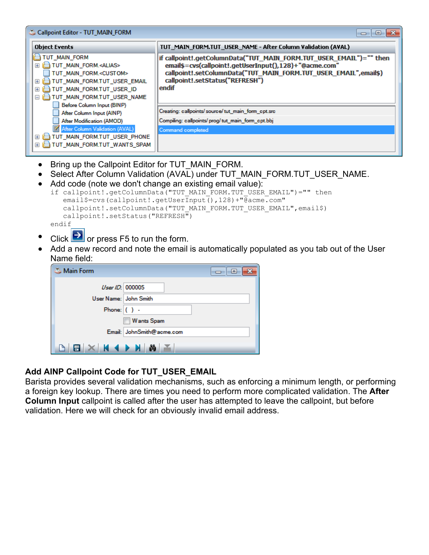| Callpoint Editor - TUT_MAIN_FORM                                                                                                                                                                                                                                                                                                                                                                                                                                        | l-23<br>Θ.                                                                                                                                                                                                                                                                                                                                                                           |
|-------------------------------------------------------------------------------------------------------------------------------------------------------------------------------------------------------------------------------------------------------------------------------------------------------------------------------------------------------------------------------------------------------------------------------------------------------------------------|--------------------------------------------------------------------------------------------------------------------------------------------------------------------------------------------------------------------------------------------------------------------------------------------------------------------------------------------------------------------------------------|
| <b>Object Events</b>                                                                                                                                                                                                                                                                                                                                                                                                                                                    | TUT_MAIN_FORM.TUT_USER_NAME - After Column Validation (AVAL)                                                                                                                                                                                                                                                                                                                         |
| TUT_MAIN_FORM<br>TUT_MAIN_FORM. <alias><br/><math>+</math><br/>TUT MAIN FORM.&lt; CUSTOM&gt;<br/>TUT_MAIN_FORM.TUT_USER_EMAIL<br/><math>\overline{+}</math><br/>TUT_MAIN_FORM.TUT_USER_ID<br/><math>\overline{+}</math><br/>TUT_MAIN_FORM.TUT_USER_NAME<br/><math>\Box</math><br/>Before Column Input (BINP)<br/>After Column Input (AINP)<br/>After Modification (AMOD)<br/>After Column Validation (AVAL)<br/>TUT_MAIN_FORM.TUT_USER_PHONE<br/><math>+</math></alias> | if callpoint!.getColumnData("TUT_MAIN_FORM.TUT_USER_EMAIL")="" then<br>email\$=cvs(callpoint!.getUserInput(),128)+"@acme.com"<br>callpoint!.setColumnData("TUT_MAIN_FORM.TUT_USER_EMAIL",email\$)<br>callpoint!.setStatus("REFRESH")<br>endif<br>Creating: callpoints/source/tut_main_form_cpt.src<br>Compiling: callpoints/ prog/ tut_main_form_cpt.bbj<br><b>Command completed</b> |
| TUT_MAIN_FORM.TUT_WANTS_SPAM<br>$+$                                                                                                                                                                                                                                                                                                                                                                                                                                     |                                                                                                                                                                                                                                                                                                                                                                                      |
| Bring up the Callpoint Editor for TUT MAIN FORM.                                                                                                                                                                                                                                                                                                                                                                                                                        | Select After Column Validation (AVAL) under TUT MAIN FORM. TUT USER NAME.<br>Add code (note we don't change an existing email value):<br>if callpoint!.getColumnData("TUT MAIN FORM.TUT USER EMAIL")="" then                                                                                                                                                                         |

```
email$=cvs(callpoint!.getUserInput(),128)+"@acme.com"
   callpoint!.setColumnData("TUT_MAIN_FORM.TUT_USER_EMAIL",email$)
    callpoint!.setStatus("REFRESH")
endif
```
- 
- Click  $\Theta$  or press F5 to run the form.
- Add a new record and note the email is automatically populated as you tab out of the User Name field:

| Main Form                      | -- E                      |
|--------------------------------|---------------------------|
| User ID: 000005                |                           |
| User Name: John Smith          |                           |
| Phone: $( )$ -                 |                           |
|                                | Wants Spam                |
|                                | Email: JohnSmith@acme.com |
| $\mathbf{B} \times \mathbf{A}$ | ≚                         |

# **Add AINP Callpoint Code for TUT\_USER\_EMAIL**

Barista provides several validation mechanisms, such as enforcing a minimum length, or performing a foreign key lookup. There are times you need to perform more complicated validation. The **After Column Input** callpoint is called after the user has attempted to leave the callpoint, but before validation. Here we will check for an obviously invalid email address.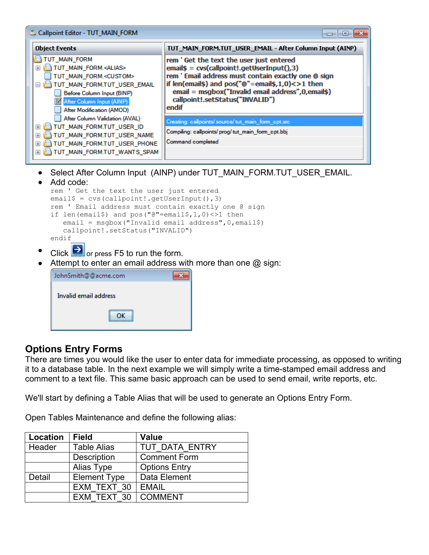| Callpoint Editor - TUT_MAIN_FORM                                                                                                                                                                                                                                                                                                                                                                                                                                                                        |                                                                                                                                                                                                                                                                                                                                                                                                                                      |  |  |  |  |
|---------------------------------------------------------------------------------------------------------------------------------------------------------------------------------------------------------------------------------------------------------------------------------------------------------------------------------------------------------------------------------------------------------------------------------------------------------------------------------------------------------|--------------------------------------------------------------------------------------------------------------------------------------------------------------------------------------------------------------------------------------------------------------------------------------------------------------------------------------------------------------------------------------------------------------------------------------|--|--|--|--|
| <b>Object Events</b>                                                                                                                                                                                                                                                                                                                                                                                                                                                                                    | TUT_MAIN_FORM.TUT_USER_EMAIL - After Column Input (AINP)                                                                                                                                                                                                                                                                                                                                                                             |  |  |  |  |
| TUT_MAIN_FORM<br>TUT_MAIN_FORM. <alias><br/>田<br/>TUT_MAIN_FORM.<custom><br/>TUT_MAIN_FORM.TUT_USER_EMAIL<br/>Ξ<br/>Before Column Input (BINP)<br/>After Column Input (AINP)<br/>After Modification (AMOD)<br/>After Column Validation (AVAL)<br/>TUT_MAIN_FORM.TUT_USER_ID<br/><math>\mathbf{F}</math><br/>TUT_MAIN_FORM.TUT_USER_NAME<br/><math>\mathbf{F}</math><br/>TUT_MAIN_FORM.TUT_USER_PHONE<br/><math>\overline{+}</math><br/>TUT_MAIN_FORM.TUT_WANTS_SPAM<br/><math>+</math></custom></alias> | rem 'Get the text the user just entered<br>$email$ = cvs(callpoint!.getUserInput(),3)$<br>rem ' Email address must contain exactly one @ sign<br>if len(email\$) and pos("@"=email\$,1,0)<>1 then<br>email = msgbox("Invalid email address",0,email\$)<br>callpoint!.setStatus("INVALID")<br>endif<br>Creating: callpoints/ source/ tut_main_form_cpt.src<br>Compiling: callpoints/ prog/ tut_main_form_cpt.bbj<br>Command completed |  |  |  |  |
| Select After Column Input (AINP) under TUT MAIN FORM.TUT USER EMAIL.<br>ملممم الملماة                                                                                                                                                                                                                                                                                                                                                                                                                   |                                                                                                                                                                                                                                                                                                                                                                                                                                      |  |  |  |  |

- Add code: rem ' Get the text the user just entered email $$ = \text{cvs}(\text{callpoint}!.getUserInput(),3)$ rem ' Email address must contain exactly one @ sign if len(email\$) and pos("@"=email\$,1,0) <>1 then email = msgbox("Invalid email address",0,email\$) callpoint!.setStatus("INVALID") endif
- Click  $\Theta$  or press F5 to run the form.
- Attempt to enter an email address with more than one  $@$  sign:

| JohnSmith@@acme.com   |  |
|-----------------------|--|
| Invalid email address |  |
|                       |  |

# **Options Entry Forms**

There are times you would like the user to enter data for immediate processing, as opposed to writing it to a database table. In the next example we will simply write a time-stamped email address and comment to a text file. This same basic approach can be used to send email, write reports, etc.

We'll start by defining a Table Alias that will be used to generate an Options Entry Form.

Open Tables Maintenance and define the following alias:

| Location | <b>Field</b>        | <b>Value</b>         |
|----------|---------------------|----------------------|
| Header   | <b>Table Alias</b>  | TUT DATA ENTRY       |
|          | Description         | <b>Comment Form</b>  |
|          | Alias Type          | <b>Options Entry</b> |
| Detail   | <b>Element Type</b> | Data Element         |
|          | EXM TEXT 30         | <b>EMAIL</b>         |
|          | EXM TEXT 30         | <b>COMMENT</b>       |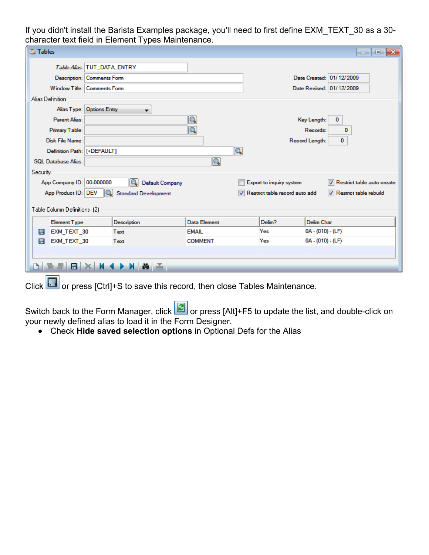If you didn't install the Barista Examples package, you'll need to first define EXM\_TEXT\_30 as a 30 character text field in Element Types Maintenance.

| <b>Tables</b>                |                                    |                      |                                | $\mathbf{x}$<br>o<br>$\Box$    |
|------------------------------|------------------------------------|----------------------|--------------------------------|--------------------------------|
|                              | Table Alias: TUT_DATA_ENTRY        |                      |                                |                                |
|                              | Description: Comments Form         |                      |                                | Date Created: 01/12/2009       |
|                              | Window Title: Comments Form        |                      |                                | Date Revised: 01/12/2009       |
| Alias Definition             |                                    |                      |                                |                                |
|                              | Alias Type: Options Entry<br>▼     |                      |                                |                                |
| <b>Parent Alias:</b>         |                                    | Q                    |                                | Key Length:<br>0               |
| Primary Table:               |                                    | Q                    |                                | Records:<br>0                  |
| Disk File Name:              |                                    |                      |                                | Record Length:<br>$\mathbf{0}$ |
| Definition Path: [+DEFAULT]  |                                    | $\boxed{\mathsf{Q}}$ |                                |                                |
| <b>SOL Database Alias:</b>   |                                    | Q                    |                                |                                |
| Security                     |                                    |                      |                                |                                |
| App Company ID: 00-000000    | Default Company                    |                      | Export to inquiry system       | Restrict table auto create     |
| App Product ID: DEV          | IQ.<br><b>Standard Development</b> |                      | Restrict table record auto add | Restrict table rebuild         |
|                              |                                    |                      |                                |                                |
| Table Column Definitions (2) |                                    |                      |                                |                                |
| <b>Element Type</b>          | Description                        | Data Element         | Delim?                         | Delim Char                     |
| EXM_TEXT_30<br>H             | Text                               | <b>EMAIL</b>         | Yes                            | $0A - (010) - (LF)$            |
| EXM_TEXT_30<br>昌             | Text                               | <b>COMMENT</b>       | Yes                            | 0A - (010) - (LF)              |
|                              |                                    |                      |                                |                                |
| E                            | ≚<br>ŵ.                            |                      |                                |                                |
|                              |                                    |                      |                                |                                |

Click or press [Ctrl]+S to save this record, then close Tables Maintenance.

Switch back to the Form Manager, click **C** or press [Alt]+F5 to update the list, and double-click on your newly defined alias to load it in the Form Designer.

● Check **Hide saved selection options** in Optional Defs for the Alias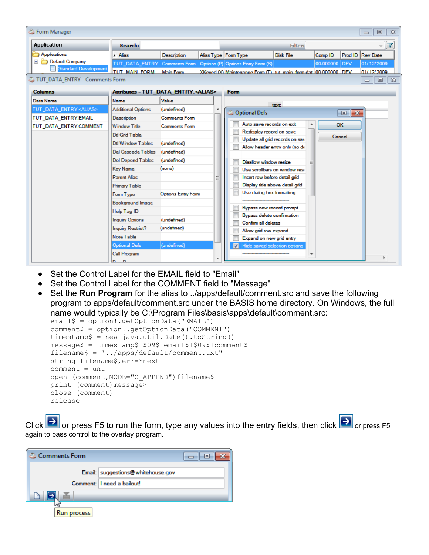| Form Manager<br>$\Sigma$<br>▣<br>$\Box$ |                                              |                           |  |  |                                                                  |                  |                    |                  |                      |                    |
|-----------------------------------------|----------------------------------------------|---------------------------|--|--|------------------------------------------------------------------|------------------|--------------------|------------------|----------------------|--------------------|
| <b>Application</b>                      | Search:                                      |                           |  |  |                                                                  | <b>Filter:</b>   |                    |                  |                      |                    |
| Applications                            | Alias                                        | Description               |  |  | Alias Type   Form Type                                           | <b>Disk File</b> | Comp <sub>ID</sub> | Prod ID Rev Date |                      |                    |
| Default Company                         | TUT DATA ENTRY                               | Comments Form             |  |  | Options (P) Options Entry Form (S)                               |                  | 00-000000          | <b>IDEV</b>      | 01/12/2009           |                    |
| Standard Development                    | <b>TUT MAIN FORM</b>                         | <b>Main Form</b>          |  |  | XKeved (X) Maintenance Form (T) hut main form dat 00-000000 DFV  |                  |                    |                  | 01/12/2009           |                    |
| TUT DATA ENTRY - Comments Form          |                                              |                           |  |  |                                                                  |                  |                    |                  | $\qquad \qquad \Box$ | $\Sigma$<br>$\Box$ |
| <b>Columns</b>                          | Attributes - TUT_DATA_ENTRY. <alias></alias> |                           |  |  | <b>Form</b>                                                      |                  |                    |                  |                      |                    |
| Data Name                               | Name                                         | Value                     |  |  |                                                                  | text:            |                    |                  |                      |                    |
| TUT_DATA_ENTRY. <alias></alias>         | <b>Additional Options</b>                    | (undefined)               |  |  | Coptional Defs                                                   |                  |                    | $\Box$ X         |                      |                    |
| TUT_DATA_ENTRY.EMAIL                    | Description                                  | <b>Comments Form</b>      |  |  |                                                                  |                  |                    |                  |                      |                    |
| TUT_DATA_ENTRY.COMMENT                  | <b>Window Title</b>                          | <b>Comments Form</b>      |  |  | Auto save records on exit                                        |                  |                    | OK               |                      |                    |
|                                         | Dtl Grid Table                               |                           |  |  | Redisplay record on save                                         |                  |                    | Cancel           |                      |                    |
|                                         | <b>Dtl Window Tables</b>                     | (undefined)               |  |  | Update all grid records on sav<br>Allow header entry only (no de |                  |                    |                  |                      |                    |
|                                         | <b>Del Cascade Tables</b>                    | (undefined)               |  |  |                                                                  |                  |                    |                  |                      |                    |
|                                         | <b>Del Depend Tables</b>                     | (undefined)               |  |  | Disallow window resize                                           |                  |                    |                  |                      |                    |
|                                         | <b>Key Name</b>                              | (none)                    |  |  | Use scrollbars on window resi                                    |                  |                    |                  |                      |                    |
|                                         | <b>Parent Alias</b>                          |                           |  |  | Insert row before detail grid                                    |                  |                    |                  |                      |                    |
|                                         | <b>Primary Table</b>                         |                           |  |  | Display title above detail grid                                  |                  |                    |                  |                      |                    |
|                                         | Form Type                                    | <b>Options Entry Form</b> |  |  | Use dialog box formatting                                        |                  |                    |                  |                      |                    |
|                                         | <b>Background Image</b>                      |                           |  |  |                                                                  |                  |                    |                  |                      |                    |
|                                         | Help Tag ID                                  |                           |  |  | Bypass new record prompt                                         |                  |                    |                  |                      |                    |
|                                         | <b>Inquiry Options</b>                       | (undefined)               |  |  | Bypass delete confirmation<br>Confirm all deletes                |                  |                    |                  |                      |                    |
|                                         | Inquiry Restrict?                            | (undefined)               |  |  | Allow grid row expand                                            |                  |                    |                  |                      |                    |
|                                         | Note Table                                   |                           |  |  | Expand on new grid entry                                         |                  |                    |                  |                      |                    |
|                                         | <b>Optional Defs</b>                         | (undefined)               |  |  | Hide saved selection options<br>V                                |                  |                    |                  |                      |                    |
|                                         | Call Program                                 |                           |  |  |                                                                  |                  |                    |                  |                      |                    |
|                                         | Dave December                                |                           |  |  |                                                                  |                  |                    |                  |                      |                    |

- Set the Control Label for the EMAIL field to "Email"
- Set the Control Label for the COMMENT field to "Message"
- Set the **Run Program** for the alias to ../apps/default/comment.src and save the following program to apps/default/comment.src under the BASIS home directory. On Windows, the full name would typically be C:\Program Files\basis\apps\default\comment.src:

```
email$ = option!.getOptionData("EMAIL")
comment$ = option!.getOptionData("COMMENT")
timestamp$ = new java.util.Date().toString()
message$ = timestamp$+$09$+email$+$09$+comment$
filename$ = "../apps/default/comment.txt"
string filename$,err=*next
comment = unt
open (comment, MODE="O APPEND")filename$
print (comment)message$
close (comment)
release
```
Click  $\Box$  or press F5 to run the form, type any values into the entry fields, then click  $\Box$  or press F5 again to pass control to the overlay program.

| Comments Form |                                   |
|---------------|-----------------------------------|
|               | Email: suggestions@whitehouse.gov |
|               | Comment:     need a bailout!      |
|               |                                   |
| <b>rocess</b> |                                   |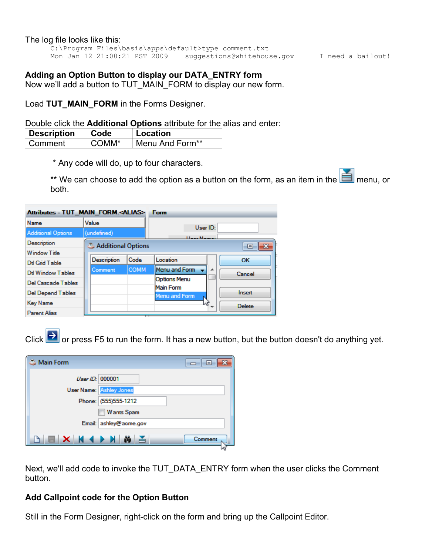#### The log file looks like this:

C:\Program Files\basis\apps\default>type comment.txt Mon Jan 12 21:00:21 PST 2009 suggestions@whitehouse.gov I need a bailout!

## **Adding an Option Button to display our DATA\_ENTRY form**

Now we'll add a button to TUT\_MAIN\_FORM to display our new form.

Load TUT MAIN FORM in the Forms Designer.

#### Double click the **Additional Options** attribute for the alias and enter:

| Description | ∣ Code | <b>⊥Location</b> |
|-------------|--------|------------------|
| ∣ Comment   | COMM*  | Menu And Form**  |

\* Any code will do, up to four characters.

\*\* We can choose to add the option as a button on the form, as an item in the  $\Box$  menu, or both.

| Attributes - TUT MAIN FORM. <alias></alias> |                    |             | <b>Form</b>                |                  |
|---------------------------------------------|--------------------|-------------|----------------------------|------------------|
| Name                                        | Value              |             | User ID:                   |                  |
| <b>Additional Options</b>                   | (undefined)        |             | <b>Hanna</b> Massac        |                  |
| Description                                 | Additional Options |             |                            | $\mathbf x$<br>ь |
| Window Title                                |                    |             |                            |                  |
| Dtl Grid Table                              | Description        | Code        | Location                   | OK               |
| Dtl Window Tables                           | Comment            | <b>COMM</b> | Menu and Form              | ┻<br>Cancel      |
| Del Cascade Tables                          |                    |             | <b>Options Menu</b>        |                  |
| <b>Del Depend Tables</b>                    |                    |             | Main Form<br>Menu and Form | Insert           |
| <b>Key Name</b>                             |                    |             | M2                         | <b>Delete</b>    |
| Parent Alias                                |                    | ⊤           |                            |                  |

Click  $\rightarrow$  or press F5 to run the form. It has a new button, but the button doesn't do anything yet.

| <b>Main Form</b> | -- - -                         |
|------------------|--------------------------------|
| UserID: 000001   |                                |
|                  | <b>User Name:</b> Ashley Jones |
|                  | Phone: (555)555-1212           |
|                  | <b>Wants Spam</b>              |
|                  | Email: ashley@acme.gov         |
| NNXXXXX          | Comment                        |

Next, we'll add code to invoke the TUT\_DATA\_ENTRY form when the user clicks the Comment button.

### **Add Callpoint code for the Option Button**

Still in the Form Designer, right-click on the form and bring up the Callpoint Editor.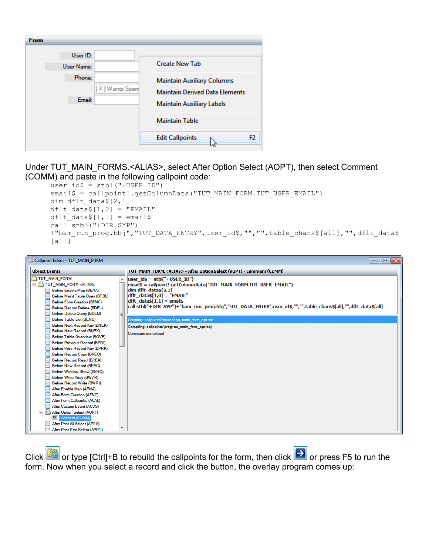| Form |                                    |                                                                                                                |
|------|------------------------------------|----------------------------------------------------------------------------------------------------------------|
|      | User ID:<br><b>User Name:</b>      | <b>Create New Tab</b>                                                                                          |
|      | Phone:<br>[X] Wants Spam<br>Email: | <b>Maintain Auxiliary Columns</b><br><b>Maintain Derived Data Elements</b><br><b>Maintain Auxiliary Labels</b> |
|      |                                    | <b>Maintain Table</b>                                                                                          |
|      |                                    | F <sub>2</sub><br><b>Edit Callpoints</b>                                                                       |

## Under TUT\_MAIN\_FORMS.<ALIAS>, select After Option Select (AOPT), then select Comment (COMM) and paste in the following callpoint code:

```
user id$ = stbl("+USER ID")email$ = callpoint!.getColumnData("TUT_MAIN_FORM.TUT_USER_EMAIL")
dim dflt_data$[2,1]
dflt data$[1,0] = "EMAIL"dflt data([1,1] = emailcall stbl("+DIR_SYP")
+"bam_run_prog.bbj","TUT_DATA_ENTRY",user_id$,"","",table_chans$[all],"",dflt_data$
[all]
```


Click or type [Ctrl]+B to rebuild the callpoints for the form, then click or press F5 to run the form. Now when you select a record and click the button, the overlay program comes up: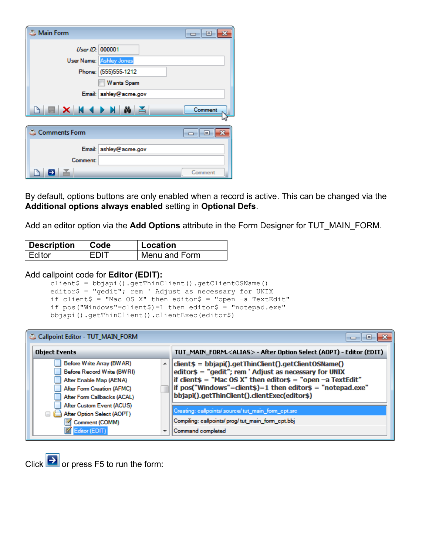| <b>Main Form</b>  |                                | $\overline{\phantom{a}}$ $\overline{\phantom{a}}$ |
|-------------------|--------------------------------|---------------------------------------------------|
|                   | User ID: 000001                |                                                   |
|                   | <b>User Name:</b> Ashley Jones |                                                   |
|                   | Phone: (555)555-1212           |                                                   |
|                   | <b>Wants Spam</b>              |                                                   |
|                   | Email: ashley@acme.gov         |                                                   |
| B B X H 4 D N 8 A |                                | Comment                                           |
|                   |                                |                                                   |
| Comments Form     |                                | $\Box$ $\Box$                                     |
|                   | Email: ashley@acme.gov         |                                                   |
| Comment:          |                                |                                                   |

By default, options buttons are only enabled when a record is active. This can be changed via the **Additional options always enabled** setting in **Optional Defs**.

Add an editor option via the **Add Options** attribute in the Form Designer for TUT\_MAIN\_FORM.

| Description | ∣ Code | Location      |  |
|-------------|--------|---------------|--|
| ∣ Editor    | EDIT   | Menu and Form |  |

#### Add callpoint code for **Editor (EDIT):**

client\$ = bbjapi().getThinClient().getClientOSName() editor\$ = "gedit"; rem ' Adjust as necessary for UNIX if client\$ = "Mac OS X" then editor\$ = "open -a TextEdit" if pos("Windows"=client\$)=1 then editor\$ = "notepad.exe" bbjapi().getThinClient().clientExec(editor\$)

| Callpoint Editor - TUT_MAIN_FORM                                                                                                                     |                                                                                                                                                                                                                                                                                               |
|------------------------------------------------------------------------------------------------------------------------------------------------------|-----------------------------------------------------------------------------------------------------------------------------------------------------------------------------------------------------------------------------------------------------------------------------------------------|
| <b>Object Events</b>                                                                                                                                 | TUT_MAIN_FORM. <alias> - After Option Select (AOPT) - Editor (EDIT)</alias>                                                                                                                                                                                                                   |
| Before Write Array (BWAR)<br>▲<br>Before Record Write (BWRI)<br>After Enable Map (AENA)<br>After Form Creation (AFMC)<br>After Form Callbacks (ACAL) | client\$ = bbjapi().getThinClient().getClientOSName()<br>editor\$ = "gedit"; rem ' Adjust as necessary for UNIX<br>if client\$ = "Mac OS X" then editor\$ = "open -a TextEdit"<br>if pos("Windows"=client\$)=1 then editor\$ = "notepad.exe"<br>bbjapi().getThinClient().clientExec(editor\$) |
| After Custom Event (ACUS)<br>After Option Select (AOPT)<br>⊟<br>邼<br>Comment (COMM)<br>Editor (EDIT)                                                 | Creating: callpoints/source/tut_main_form_cpt.src<br>Compiling: callpoints/prog/tut_main_form_cpt.bbj<br>Command completed                                                                                                                                                                    |

Click  $\rightarrow$  or press F5 to run the form: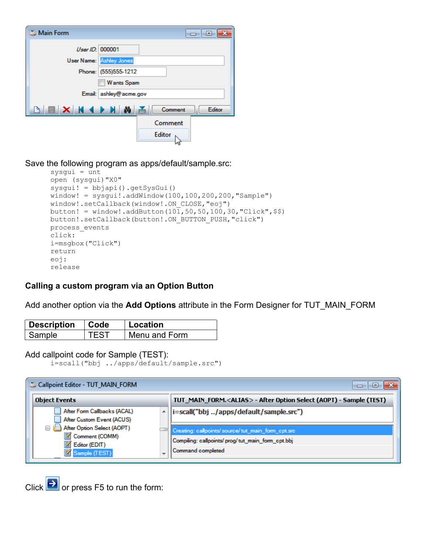| Main Form        |                                |               | $\Box$ $\Box$ |  |  |  |
|------------------|--------------------------------|---------------|---------------|--|--|--|
| UserID: 000001   |                                |               |               |  |  |  |
|                  | <b>User Name:</b> Ashley Jones |               |               |  |  |  |
|                  | Phone: (555)555-1212           |               |               |  |  |  |
|                  | <b>Wants Spam</b>              |               |               |  |  |  |
|                  | Email: ashley@acme.gov         |               |               |  |  |  |
| <b>BEXK4DHAZ</b> |                                | Comment       | Editor        |  |  |  |
|                  |                                | Comment       |               |  |  |  |
|                  |                                | <b>Editor</b> |               |  |  |  |

Save the following program as apps/default/sample.src:

```
sysgui = unt
open (sysgui)"X0"
sysgui! = bbjapi().getSysGui()
window! = sysgui!.addWindow(100,100,200,200,"Sample")window!.setCallback(window!.ON_CLOSE,"eoj")
button! = window!.addButton(10\overline{1}, 50, 50, 100, 30, "Click", $$)
button!.setCallback(button!.ON_BUTTON_PUSH,"click")
process_events
click:
i=msgbox("Click")
return
eoj: 
release
```
## **Calling a custom program via an Option Button**

Add another option via the **Add Options** attribute in the Form Designer for TUT\_MAIN\_FORM

| Description | $\vert$ Code | ∣ Location    |  |  |
|-------------|--------------|---------------|--|--|
| Sample      | <b>TEST</b>  | Menu and Form |  |  |

#### Add callpoint code for Sample (TEST):

```
i=scall("bbj ../apps/default/sample.src")
```

|  | Callpoint Editor - TUT_MAIN_FORM                                                                  |  | l۰                                                                          |
|--|---------------------------------------------------------------------------------------------------|--|-----------------------------------------------------------------------------|
|  | <b>Object Events</b>                                                                              |  | TUT_MAIN_FORM. <alias> - After Option Select (AOPT) - Sample (TEST)</alias> |
|  | After Form Callbacks (ACAL)                                                                       |  | i=scall("bbj /apps/default/sample.src")                                     |
|  | After Custom Event (ACUS)<br>After Option Select (AOPT)<br>$=$<br>Comment (COMM)<br>Editor (EDIT) |  |                                                                             |
|  |                                                                                                   |  | Creating: callpoints/ source/ tut main form cpt.src                         |
|  |                                                                                                   |  | Compiling: callpoints/prog/tut_main_form_cpt.bbj                            |
|  | 圂<br>Sample (TEST)                                                                                |  | Command completed                                                           |